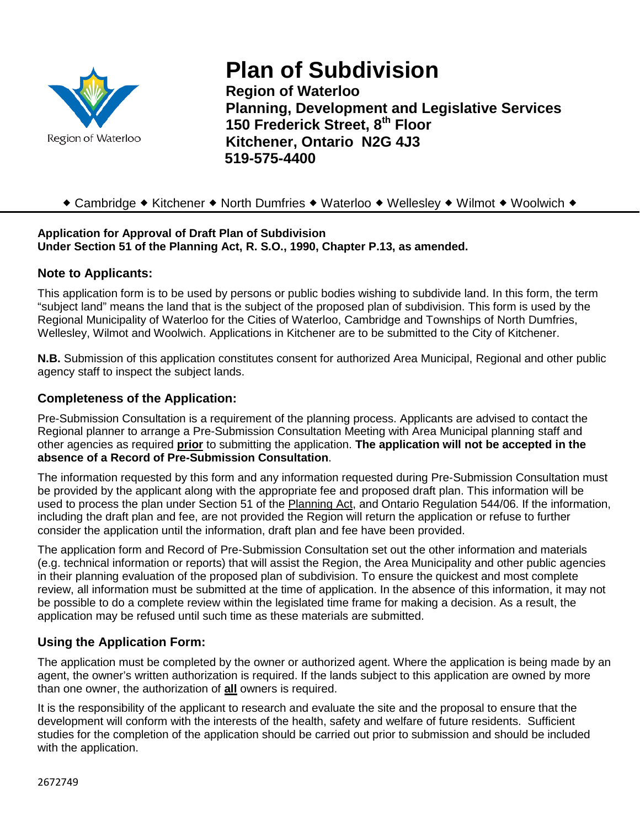

# **Plan of Subdivision**

**Region of Waterloo Planning, Development and Legislative Services 150 Frederick Street, 8th Floor Kitchener, Ontario N2G 4J3 519-575-4400**

# ◆ Cambridge ◆ Kitchener ◆ North Dumfries ◆ Waterloo ◆ Wellesley ◆ Wilmot ◆ Woolwich ◆

#### **Application for Approval of Draft Plan of Subdivision Under Section 51 of the Planning Act, R. S.O., 1990, Chapter P.13, as amended.**

#### **Note to Applicants:**

This application form is to be used by persons or public bodies wishing to subdivide land. In this form, the term "subject land" means the land that is the subject of the proposed plan of subdivision. This form is used by the Regional Municipality of Waterloo for the Cities of Waterloo, Cambridge and Townships of North Dumfries, Wellesley, Wilmot and Woolwich. Applications in Kitchener are to be submitted to the City of Kitchener.

**N.B.** Submission of this application constitutes consent for authorized Area Municipal, Regional and other public agency staff to inspect the subject lands.

## **Completeness of the Application:**

Pre-Submission Consultation is a requirement of the planning process. Applicants are advised to contact the Regional planner to arrange a Pre-Submission Consultation Meeting with Area Municipal planning staff and other agencies as required **prior** to submitting the application. **The application will not be accepted in the absence of a Record of Pre-Submission Consultation**.

The information requested by this form and any information requested during Pre-Submission Consultation must be provided by the applicant along with the appropriate fee and proposed draft plan. This information will be used to process the plan under Section 51 of the Planning Act, and Ontario Regulation 544/06. If the information, including the draft plan and fee, are not provided the Region will return the application or refuse to further consider the application until the information, draft plan and fee have been provided.

The application form and Record of Pre-Submission Consultation set out the other information and materials (e.g. technical information or reports) that will assist the Region, the Area Municipality and other public agencies in their planning evaluation of the proposed plan of subdivision. To ensure the quickest and most complete review, all information must be submitted at the time of application. In the absence of this information, it may not be possible to do a complete review within the legislated time frame for making a decision. As a result, the application may be refused until such time as these materials are submitted.

## **Using the Application Form:**

The application must be completed by the owner or authorized agent. Where the application is being made by an agent, the owner's written authorization is required. If the lands subject to this application are owned by more than one owner, the authorization of **all** owners is required.

It is the responsibility of the applicant to research and evaluate the site and the proposal to ensure that the development will conform with the interests of the health, safety and welfare of future residents. Sufficient studies for the completion of the application should be carried out prior to submission and should be included with the application.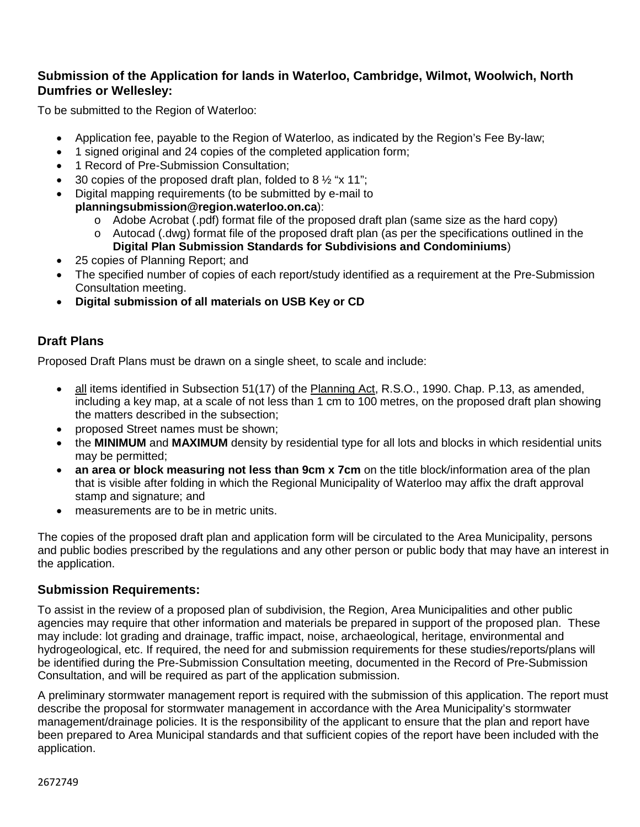## **Submission of the Application for lands in Waterloo, Cambridge, Wilmot, Woolwich, North Dumfries or Wellesley:**

To be submitted to the Region of Waterloo:

- Application fee, payable to the Region of Waterloo, as indicated by the Region's Fee By-law;
- 1 signed original and 24 copies of the completed application form;
- 1 Record of Pre-Submission Consultation;
- 30 copies of the proposed draft plan, folded to 8  $\frac{1}{2}$  "x 11";
- Digital mapping requirements (to be submitted by e-mail to **planningsubmission@region.waterloo.on.ca**):
	- o Adobe Acrobat (.pdf) format file of the proposed draft plan (same size as the hard copy)
	- $\circ$  Autocad (.dwg) format file of the proposed draft plan (as per the specifications outlined in the **Digital Plan Submission Standards for Subdivisions and Condominiums**)
- 25 copies of Planning Report; and
- The specified number of copies of each report/study identified as a requirement at the Pre-Submission Consultation meeting.
- **Digital submission of all materials on USB Key or CD**

## **Draft Plans**

Proposed Draft Plans must be drawn on a single sheet, to scale and include:

- all items identified in Subsection 51(17) of the Planning Act, R.S.O., 1990. Chap. P.13, as amended, including a key map, at a scale of not less than 1 cm to 100 metres, on the proposed draft plan showing the matters described in the subsection;
- proposed Street names must be shown;
- the **MINIMUM** and **MAXIMUM** density by residential type for all lots and blocks in which residential units may be permitted;
- **an area or block measuring not less than 9cm x 7cm** on the title block/information area of the plan that is visible after folding in which the Regional Municipality of Waterloo may affix the draft approval stamp and signature; and
- measurements are to be in metric units.

The copies of the proposed draft plan and application form will be circulated to the Area Municipality, persons and public bodies prescribed by the regulations and any other person or public body that may have an interest in the application.

## **Submission Requirements:**

To assist in the review of a proposed plan of subdivision, the Region, Area Municipalities and other public agencies may require that other information and materials be prepared in support of the proposed plan. These may include: lot grading and drainage, traffic impact, noise, archaeological, heritage, environmental and hydrogeological, etc. If required, the need for and submission requirements for these studies/reports/plans will be identified during the Pre-Submission Consultation meeting, documented in the Record of Pre-Submission Consultation, and will be required as part of the application submission.

A preliminary stormwater management report is required with the submission of this application. The report must describe the proposal for stormwater management in accordance with the Area Municipality's stormwater management/drainage policies. It is the responsibility of the applicant to ensure that the plan and report have been prepared to Area Municipal standards and that sufficient copies of the report have been included with the application.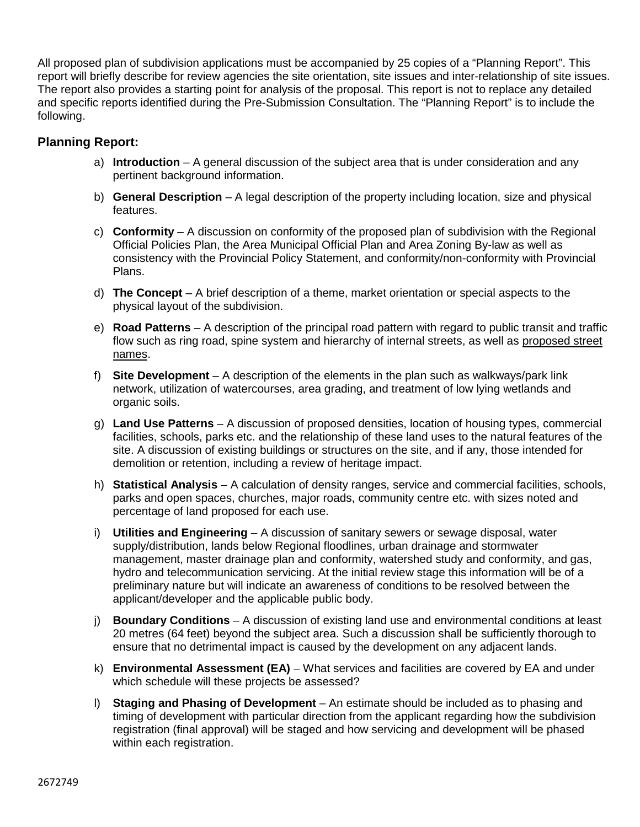All proposed plan of subdivision applications must be accompanied by 25 copies of a "Planning Report". This report will briefly describe for review agencies the site orientation, site issues and inter-relationship of site issues. The report also provides a starting point for analysis of the proposal. This report is not to replace any detailed and specific reports identified during the Pre-Submission Consultation. The "Planning Report" is to include the following.

# **Planning Report:**

- a) **Introduction** A general discussion of the subject area that is under consideration and any pertinent background information.
- b) **General Description** A legal description of the property including location, size and physical features.
- c) **Conformity** A discussion on conformity of the proposed plan of subdivision with the Regional Official Policies Plan, the Area Municipal Official Plan and Area Zoning By-law as well as consistency with the Provincial Policy Statement, and conformity/non-conformity with Provincial Plans.
- d) **The Concept** A brief description of a theme, market orientation or special aspects to the physical layout of the subdivision.
- e) **Road Patterns** A description of the principal road pattern with regard to public transit and traffic flow such as ring road, spine system and hierarchy of internal streets, as well as proposed street names.
- f) **Site Development** A description of the elements in the plan such as walkways/park link network, utilization of watercourses, area grading, and treatment of low lying wetlands and organic soils.
- g) **Land Use Patterns** A discussion of proposed densities, location of housing types, commercial facilities, schools, parks etc. and the relationship of these land uses to the natural features of the site. A discussion of existing buildings or structures on the site, and if any, those intended for demolition or retention, including a review of heritage impact.
- h) **Statistical Analysis** A calculation of density ranges, service and commercial facilities, schools, parks and open spaces, churches, major roads, community centre etc. with sizes noted and percentage of land proposed for each use.
- i) **Utilities and Engineering** A discussion of sanitary sewers or sewage disposal, water supply/distribution, lands below Regional floodlines, urban drainage and stormwater management, master drainage plan and conformity, watershed study and conformity, and gas, hydro and telecommunication servicing. At the initial review stage this information will be of a preliminary nature but will indicate an awareness of conditions to be resolved between the applicant/developer and the applicable public body.
- j) **Boundary Conditions** A discussion of existing land use and environmental conditions at least 20 metres (64 feet) beyond the subject area. Such a discussion shall be sufficiently thorough to ensure that no detrimental impact is caused by the development on any adjacent lands.
- k) **Environmental Assessment (EA)** What services and facilities are covered by EA and under which schedule will these projects be assessed?
- l) **Staging and Phasing of Development** An estimate should be included as to phasing and timing of development with particular direction from the applicant regarding how the subdivision registration (final approval) will be staged and how servicing and development will be phased within each registration.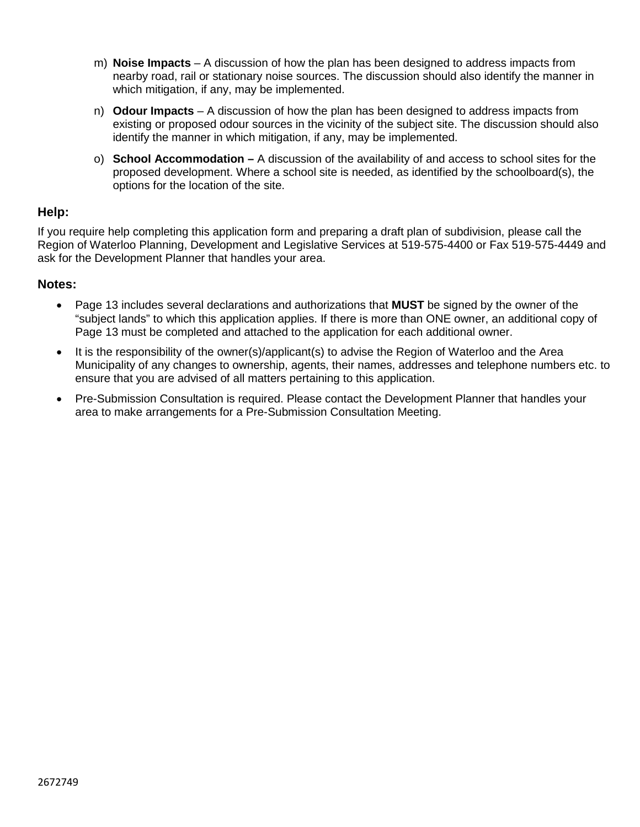- m) **Noise Impacts**  A discussion of how the plan has been designed to address impacts from nearby road, rail or stationary noise sources. The discussion should also identify the manner in which mitigation, if any, may be implemented.
- n) **Odour Impacts** A discussion of how the plan has been designed to address impacts from existing or proposed odour sources in the vicinity of the subject site. The discussion should also identify the manner in which mitigation, if any, may be implemented.
- o) **School Accommodation –** A discussion of the availability of and access to school sites for the proposed development. Where a school site is needed, as identified by the schoolboard(s), the options for the location of the site.

#### **Help:**

If you require help completing this application form and preparing a draft plan of subdivision, please call the Region of Waterloo Planning, Development and Legislative Services at 519-575-4400 or Fax 519-575-4449 and ask for the Development Planner that handles your area.

#### **Notes:**

- Page 13 includes several declarations and authorizations that **MUST** be signed by the owner of the "subject lands" to which this application applies. If there is more than ONE owner, an additional copy of Page 13 must be completed and attached to the application for each additional owner.
- It is the responsibility of the owner(s)/applicant(s) to advise the Region of Waterloo and the Area Municipality of any changes to ownership, agents, their names, addresses and telephone numbers etc. to ensure that you are advised of all matters pertaining to this application.
- Pre-Submission Consultation is required. Please contact the Development Planner that handles your area to make arrangements for a Pre-Submission Consultation Meeting.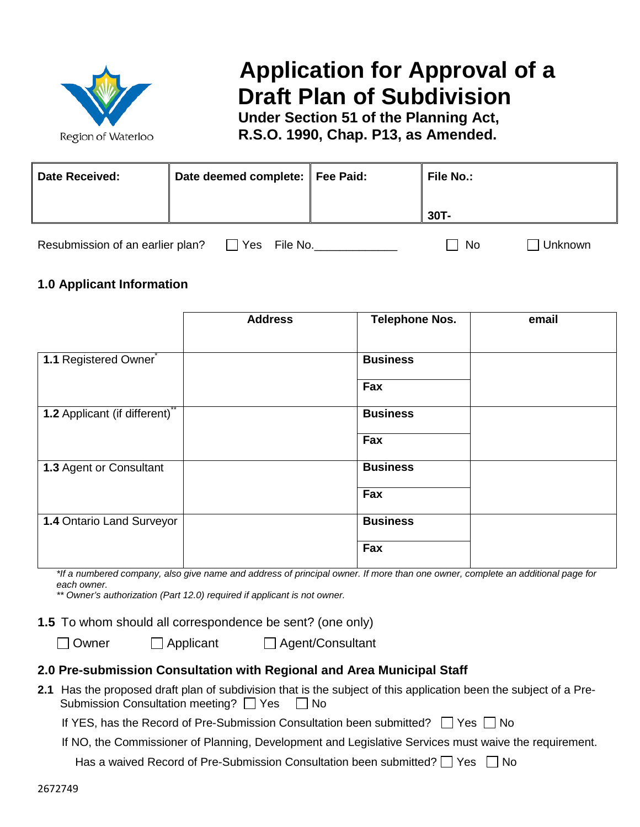

# **Application for Approval of a Draft Plan of Subdivision**

**Under Section 51 of the Planning Act, R.S.O. 1990, Chap. P13, as Amended.**

| <b>Date Received:</b>            | Date deemed complete:   Fee Paid: | <b>File No.:</b> |         |  |
|----------------------------------|-----------------------------------|------------------|---------|--|
|                                  |                                   | $30T -$          |         |  |
| Resubmission of an earlier plan? | File No.<br>Yes                   | No               | Unknown |  |

**1.0 Applicant Information**

|                                  | <b>Address</b> | <b>Telephone Nos.</b> | email |
|----------------------------------|----------------|-----------------------|-------|
| 1.1 Registered Owner             |                | <b>Business</b>       |       |
|                                  |                | Fax                   |       |
| 1.2 Applicant (if different)**   |                | <b>Business</b>       |       |
|                                  |                | Fax                   |       |
| 1.3 Agent or Consultant          |                | <b>Business</b>       |       |
|                                  |                | Fax                   |       |
| <b>1.4 Ontario Land Surveyor</b> |                | <b>Business</b>       |       |
|                                  |                | Fax                   |       |

*\*If a numbered company, also give name and address of principal owner. If more than one owner, complete an additional page for each owner.*

*\*\* Owner's authorization (Part 12.0) required if applicant is not owner.*

**1.5** To whom should all correspondence be sent? (one only)

□ Owner コ Applicant コ Agent/Consultant

## **2.0 Pre-submission Consultation with Regional and Area Municipal Staff**

**2.1** Has the proposed draft plan of subdivision that is the subject of this application been the subject of a Pre- Submission Consultation meeting?  $\Box$  Yes  $\Box$  No

If YES, has the Record of Pre-Submission Consultation been submitted?  $\Box$  Yes  $\Box$  No

If NO, the Commissioner of Planning, Development and Legislative Services must waive the requirement.

Has a waived Record of Pre-Submission Consultation been submitted?  $\Box$  Yes  $\Box$  No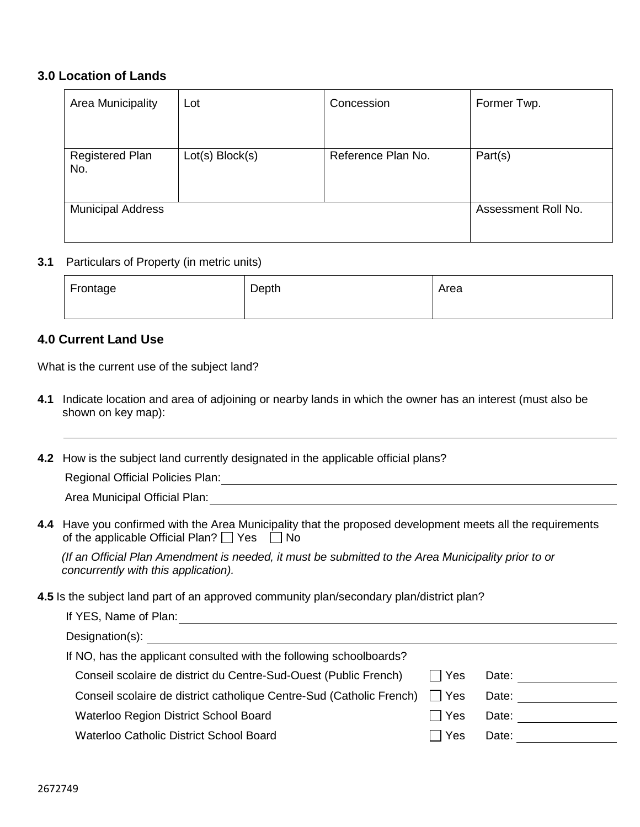#### **3.0 Location of Lands**

| Lot | Concession      | Former Twp.         |
|-----|-----------------|---------------------|
|     |                 |                     |
|     |                 | Part(s)             |
|     |                 |                     |
|     |                 | Assessment Roll No. |
|     | Lot(s) Block(s) | Reference Plan No.  |

#### **3.1** Particulars of Property (in metric units)

| Frontage | Depth | Area |
|----------|-------|------|
|          |       |      |

# **4.0 Current Land Use**

What is the current use of the subject land?

**4.1** Indicate location and area of adjoining or nearby lands in which the owner has an interest (must also be shown on key map):

**4.2** How is the subject land currently designated in the applicable official plans?

Regional Official Policies Plan:

| Area Municipal Official Plan: |  |
|-------------------------------|--|
|                               |  |

**4.4** Have you confirmed with the Area Municipality that the proposed development meets all the requirements of the applicable Official Plan?  $\Box$  Yes  $\Box$  No

*(If an Official Plan Amendment is needed, it must be submitted to the Area Municipality prior to or concurrently with this application).* 

**4.5** Is the subject land part of an approved community plan/secondary plan/district plan?

| $\Box$ Yes | Date: |
|------------|-------|
| Yes        | Date: |
| □ Yes      | Date: |
| Yes        | Date: |
|            |       |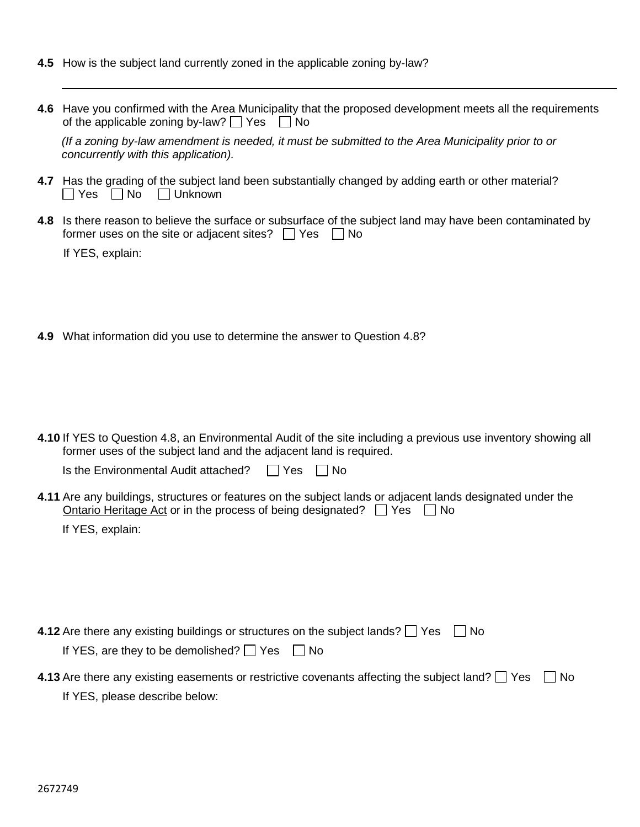- **4.5** How is the subject land currently zoned in the applicable zoning by-law?
- **4.6** Have you confirmed with the Area Municipality that the proposed development meets all the requirements of the applicable zoning by-law?  $\Box$  Yes  $\Box$  No

*(If a zoning by-law amendment is needed, it must be submitted to the Area Municipality prior to or concurrently with this application).* 

- **4.7** Has the grading of the subject land been substantially changed by adding earth or other material?  $\Box$  Yes  $\Box$  No  $\Box$  Unknown
- **4.8** Is there reason to believe the surface or subsurface of the subject land may have been contaminated by former uses on the site or adjacent sites?  $\Box$  Yes  $\Box$  No

If YES, explain:

**4.9** What information did you use to determine the answer to Question 4.8?

**4.10** If YES to Question 4.8, an Environmental Audit of the site including a previous use inventory showing all former uses of the subject land and the adjacent land is required.

Is the Environmental Audit attached?  $\Box$  Yes  $\Box$  No

**4.11** Are any buildings, structures or features on the subject lands or adjacent lands designated under the Ontario Heritage Act or in the process of being designated?  $\Box$  Yes  $\Box$  No

If YES, explain:

| 4.12 Are there any existing buildings or structures on the subject lands?     Yes<br>l I No                            |  |
|------------------------------------------------------------------------------------------------------------------------|--|
| If YES, are they to be demolished? $\Box$ Yes $\Box$ No                                                                |  |
| <b>4.13</b> Are there any existing easements or restrictive covenants affecting the subject land? $\Box$ Yes $\Box$ No |  |

If YES, please describe below: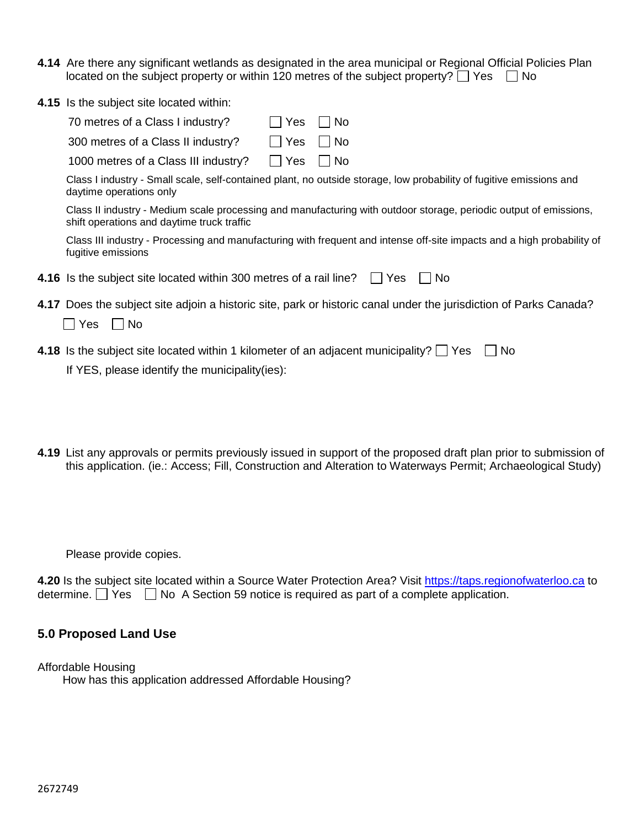- **4.14** Are there any significant wetlands as designated in the area municipal or Regional Official Policies Plan located on the subject property or within 120 metres of the subject property?  $\Box$  Yes  $\Box$  No
- **4.15** Is the subject site located within:

| 70 metres of a Class I industry?   | $\Box$ Yes $\Box$ No |
|------------------------------------|----------------------|
| 300 metres of a Class II industry? | $\Box$ Yes $\Box$ No |
|                                    |                      |

1000 metres of a Class III industry? | | Yes | | No

Class I industry - Small scale, self-contained plant, no outside storage, low probability of fugitive emissions and daytime operations only

Class II industry - Medium scale processing and manufacturing with outdoor storage, periodic output of emissions, shift operations and daytime truck traffic

Class III industry - Processing and manufacturing with frequent and intense off-site impacts and a high probability of fugitive emissions

|  | 4.16 Is the subject site located within 300 metres of a rail line? Thes Tho |  |  |
|--|-----------------------------------------------------------------------------|--|--|
|--|-----------------------------------------------------------------------------|--|--|

**4.17** Does the subject site adjoin a historic site, park or historic canal under the jurisdiction of Parks Canada?

| Yes. | No |
|------|----|
|------|----|

**4.18** Is the subject site located within 1 kilometer of an adjacent municipality?  $\Box$  Yes  $\Box$  No

If YES, please identify the municipality(ies):

**4.19** List any approvals or permits previously issued in support of the proposed draft plan prior to submission of this application. (ie.: Access; Fill, Construction and Alteration to Waterways Permit; Archaeological Study)

Please provide copies.

**4.20** Is the subject site located within a Source Water Protection Area? Visit [https://taps.regionofwaterloo.ca](https://taps.regionofwaterloo.ca/) to determine.  $\Box$  Yes  $\Box$  No A Section 59 notice is required as part of a complete application.

## **5.0 Proposed Land Use**

Affordable Housing How has this application addressed Affordable Housing?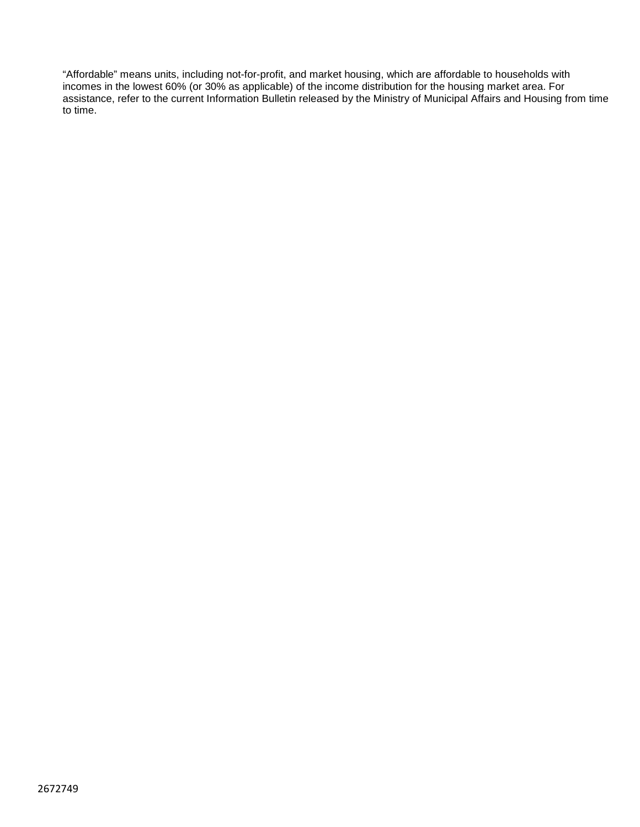"Affordable" means units, including not-for-profit, and market housing, which are affordable to households with incomes in the lowest 60% (or 30% as applicable) of the income distribution for the housing market area. For assistance, refer to the current Information Bulletin released by the Ministry of Municipal Affairs and Housing from time to time.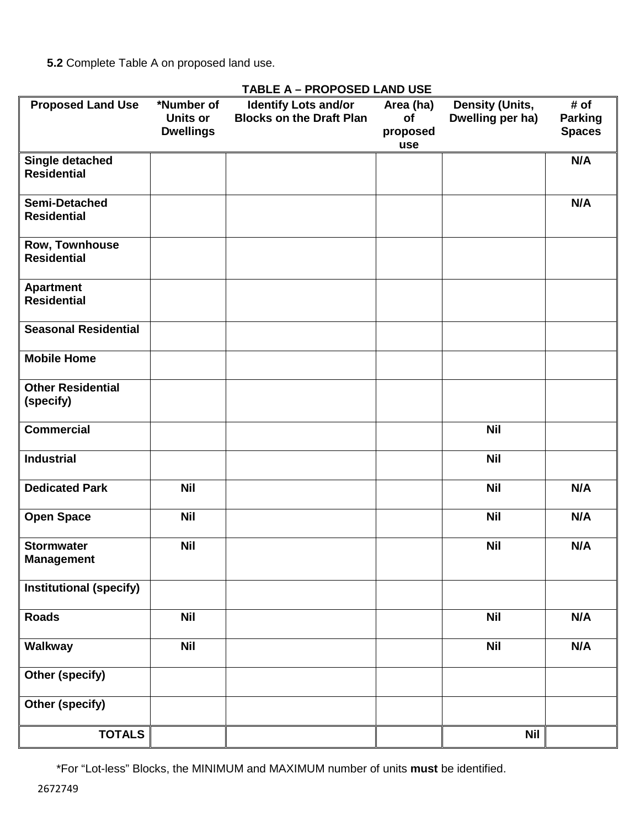**5.2** Complete Table A on proposed land use.

| <b>Proposed Land Use</b>               | *Number of<br>Units or<br><b>Dwellings</b> | <b>Identify Lots and/or</b><br><b>Blocks on the Draft Plan</b> | Area (ha)<br>of<br>proposed<br>use | <b>Density (Units,</b><br>Dwelling per ha) | # of<br><b>Parking</b><br><b>Spaces</b> |
|----------------------------------------|--------------------------------------------|----------------------------------------------------------------|------------------------------------|--------------------------------------------|-----------------------------------------|
| Single detached<br><b>Residential</b>  |                                            |                                                                |                                    |                                            | N/A                                     |
| Semi-Detached<br><b>Residential</b>    |                                            |                                                                |                                    |                                            | N/A                                     |
| Row, Townhouse<br><b>Residential</b>   |                                            |                                                                |                                    |                                            |                                         |
| <b>Apartment</b><br><b>Residential</b> |                                            |                                                                |                                    |                                            |                                         |
| <b>Seasonal Residential</b>            |                                            |                                                                |                                    |                                            |                                         |
| <b>Mobile Home</b>                     |                                            |                                                                |                                    |                                            |                                         |
| <b>Other Residential</b><br>(specify)  |                                            |                                                                |                                    |                                            |                                         |
| <b>Commercial</b>                      |                                            |                                                                |                                    | <b>Nil</b>                                 |                                         |
| <b>Industrial</b>                      |                                            |                                                                |                                    | <b>Nil</b>                                 |                                         |
| <b>Dedicated Park</b>                  | <b>Nil</b>                                 |                                                                |                                    | <b>Nil</b>                                 | N/A                                     |
| <b>Open Space</b>                      | <b>Nil</b>                                 |                                                                |                                    | <b>Nil</b>                                 | N/A                                     |
| <b>Stormwater</b><br><b>Management</b> | <b>Nil</b>                                 |                                                                |                                    | <b>Nil</b>                                 | N/A                                     |
| <b>Institutional (specify)</b>         |                                            |                                                                |                                    |                                            |                                         |
| <b>Roads</b>                           | <b>Nil</b>                                 |                                                                |                                    | <b>Nil</b>                                 | N/A                                     |
| Walkway                                | <b>Nil</b>                                 |                                                                |                                    | <b>Nil</b>                                 | N/A                                     |
| Other (specify)                        |                                            |                                                                |                                    |                                            |                                         |
| Other (specify)                        |                                            |                                                                |                                    |                                            |                                         |
| <b>TOTALS</b>                          |                                            |                                                                |                                    | <b>Nil</b>                                 |                                         |

# **TABLE A – PROPOSED LAND USE**

\*For "Lot-less" Blocks, the MINIMUM and MAXIMUM number of units **must** be identified.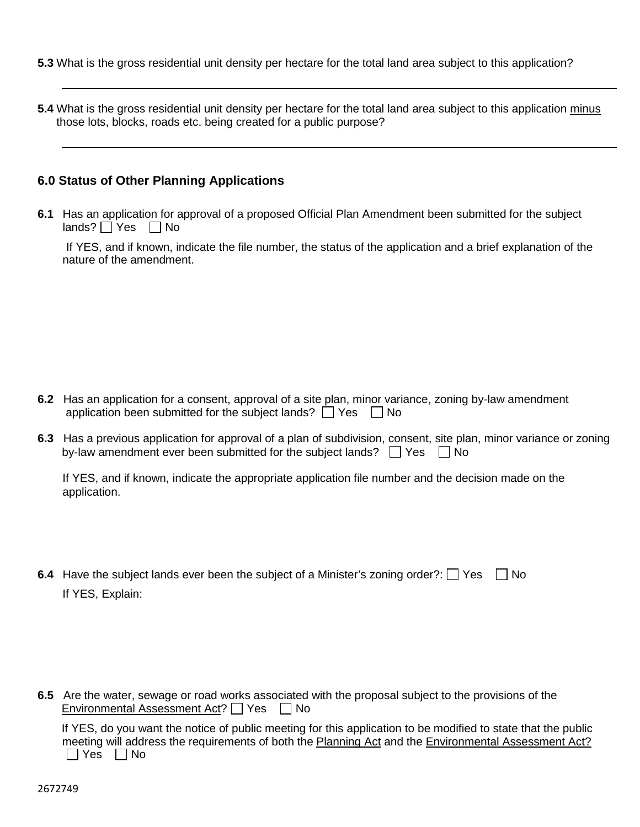- **5.3** What is the gross residential unit density per hectare for the total land area subject to this application?
- **5.4** What is the gross residential unit density per hectare for the total land area subject to this application minus those lots, blocks, roads etc. being created for a public purpose?

#### **6.0 Status of Other Planning Applications**

**6.1** Has an application for approval of a proposed Official Plan Amendment been submitted for the subject lands?  $\Box$  Yes  $\Box$  No

If YES, and if known, indicate the file number, the status of the application and a brief explanation of the nature of the amendment.

**6.2** Has an application for a consent, approval of a site plan, minor variance, zoning by-law amendment application been submitted for the subject lands?  $\Box$  Yes  $\Box$  No

**6.3** Has a previous application for approval of a plan of subdivision, consent, site plan, minor variance or zoning by-law amendment ever been submitted for the subject lands?  $\Box$  Yes  $\Box$  No

If YES, and if known, indicate the appropriate application file number and the decision made on the application.

**6.4** Have the subject lands ever been the subject of a Minister's zoning order?:  $\Box$  Yes  $\Box$  No If YES, Explain:

**6.5** Are the water, sewage or road works associated with the proposal subject to the provisions of the Environmental Assessment Act?  $\Box$  Yes  $\Box$  No

If YES, do you want the notice of public meeting for this application to be modified to state that the public meeting will address the requirements of both the Planning Act and the Environmental Assessment Act?  $\Box$  Yes  $\Box$  No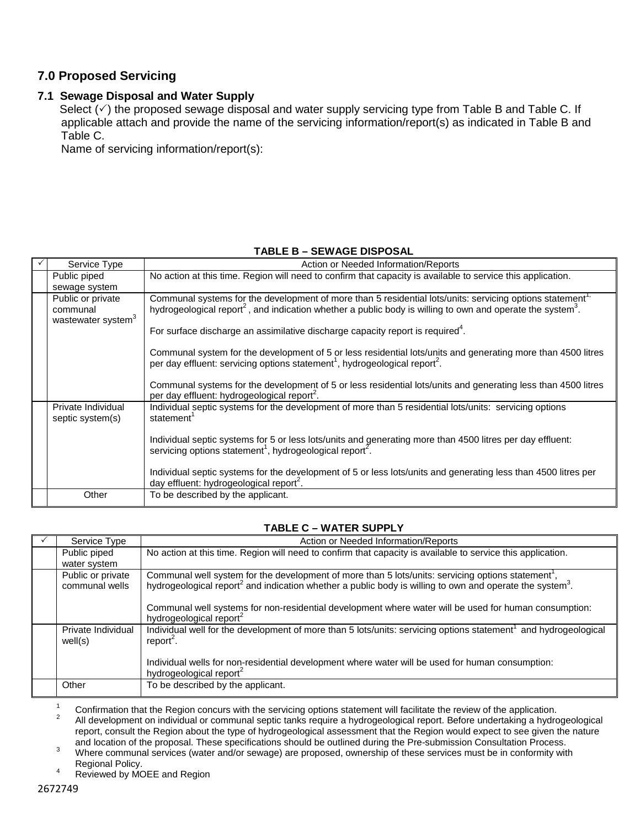## **7.0 Proposed Servicing**

#### **7.1 Sewage Disposal and Water Supply**

Select  $(\check{\phantom{\phi}})$  the proposed sewage disposal and water supply servicing type from Table B and Table C. If applicable attach and provide the name of the servicing information/report(s) as indicated in Table B and Table C.

Name of servicing information/report(s):

#### **TABLE B – SEWAGE DISPOSAL**

| Service Type                                                    | Action or Needed Information/Reports                                                                                                                                                                                                                                                                                                                                                                                                                                                                                                                                                                                                                                                            |
|-----------------------------------------------------------------|-------------------------------------------------------------------------------------------------------------------------------------------------------------------------------------------------------------------------------------------------------------------------------------------------------------------------------------------------------------------------------------------------------------------------------------------------------------------------------------------------------------------------------------------------------------------------------------------------------------------------------------------------------------------------------------------------|
| Public piped<br>sewage system                                   | No action at this time. Region will need to confirm that capacity is available to service this application.                                                                                                                                                                                                                                                                                                                                                                                                                                                                                                                                                                                     |
| Public or private<br>communal<br>wastewater system <sup>3</sup> | Communal systems for the development of more than 5 residential lots/units: servicing options statement <sup>1</sup><br>hydrogeological report <sup>2</sup> , and indication whether a public body is willing to own and operate the system <sup>3</sup> .<br>For surface discharge an assimilative discharge capacity report is required <sup>4</sup> .<br>Communal system for the development of 5 or less residential lots/units and generating more than 4500 litres<br>per day effluent: servicing options statement <sup>1</sup> , hydrogeological report <sup>2</sup> .<br>Communal systems for the development of 5 or less residential lots/units and generating less than 4500 litres |
|                                                                 | per day effluent: hydrogeological report <sup>2</sup> .                                                                                                                                                                                                                                                                                                                                                                                                                                                                                                                                                                                                                                         |
| Private Individual<br>septic system(s)                          | Individual septic systems for the development of more than 5 residential lots/units: servicing options<br>statement <sup>1</sup><br>Individual septic systems for 5 or less lots/units and generating more than 4500 litres per day effluent:<br>servicing options statement <sup>1</sup> , hydrogeological report <sup>2</sup> .<br>Individual septic systems for the development of 5 or less lots/units and generating less than 4500 litres per                                                                                                                                                                                                                                             |
|                                                                 | day effluent: hydrogeological report <sup>2</sup> .                                                                                                                                                                                                                                                                                                                                                                                                                                                                                                                                                                                                                                             |
| Other                                                           | To be described by the applicant.                                                                                                                                                                                                                                                                                                                                                                                                                                                                                                                                                                                                                                                               |

#### **TABLE C – WATER SUPPLY**

| Service Type                        | Action or Needed Information/Reports                                                                                                                                                                                                                                                                                                                                                               |
|-------------------------------------|----------------------------------------------------------------------------------------------------------------------------------------------------------------------------------------------------------------------------------------------------------------------------------------------------------------------------------------------------------------------------------------------------|
| Public piped                        | No action at this time. Region will need to confirm that capacity is available to service this application.                                                                                                                                                                                                                                                                                        |
| water system                        |                                                                                                                                                                                                                                                                                                                                                                                                    |
| Public or private<br>communal wells | Communal well system for the development of more than 5 lots/units: servicing options statement <sup>1</sup> ,<br>hydrogeological report <sup>2</sup> and indication whether a public body is willing to own and operate the system <sup>3</sup> .<br>Communal well systems for non-residential development where water will be used for human consumption:<br>hydrogeological report <sup>2</sup> |
| Private Individual<br>well(s)       | Individual well for the development of more than 5 lots/units: servicing options statement <sup>1</sup> and hydrogeological<br>report <sup>2</sup> .<br>Individual wells for non-residential development where water will be used for human consumption:<br>hydrogeological report <sup>2</sup>                                                                                                    |
| Other                               | To be described by the applicant.                                                                                                                                                                                                                                                                                                                                                                  |

 $\frac{1}{2}$  Confirmation that the Region concurs with the servicing options statement will facilitate the review of the application.<br><sup>2</sup> All development on individual or communal septic tanks require a hydrogeological repor report, consult the Region about the type of hydrogeological assessment that the Region would expect to see given the nature and location of the proposal. These specifications should be outlined during the Pre-submission C

Where communal services (water and/or sewage) are proposed, ownership of these services must be in conformity with<br>Regional Policy.

<sup>4</sup> Reviewed by MOEE and Region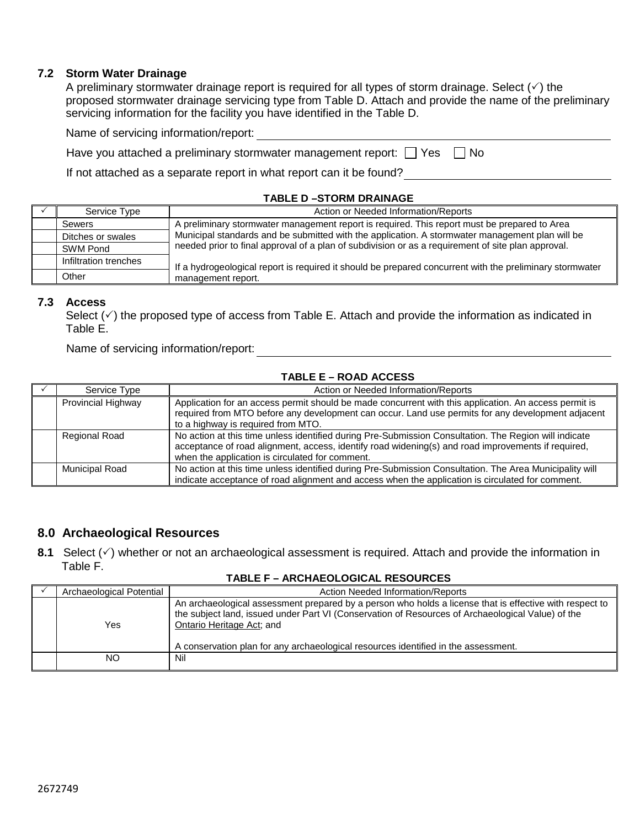#### **7.2 Storm Water Drainage**

A preliminary stormwater drainage report is required for all types of storm drainage. Select  $(\check{\phantom{a}})$  the proposed stormwater drainage servicing type from Table D. Attach and provide the name of the preliminary servicing information for the facility you have identified in the Table D.

| Have you attached a preliminary stormwater management report: $\Box$ Yes $\Box$ No |  |  |  |
|------------------------------------------------------------------------------------|--|--|--|
|------------------------------------------------------------------------------------|--|--|--|

If not attached as a separate report in what report can it be found?

#### **TABLE D –STORM DRAINAGE**

| Service Type          | Action or Needed Information/Reports                                                                     |  |  |
|-----------------------|----------------------------------------------------------------------------------------------------------|--|--|
| Sewers                | A preliminary stormwater management report is required. This report must be prepared to Area             |  |  |
| Ditches or swales     | Municipal standards and be submitted with the application. A stormwater management plan will be          |  |  |
| SWM Pond              | needed prior to final approval of a plan of subdivision or as a requirement of site plan approval.       |  |  |
| Infiltration trenches | If a hydrogeological report is required it should be prepared concurrent with the preliminary stormwater |  |  |
| Other                 | management report.                                                                                       |  |  |

#### **7.3 Access**

Select  $(\checkmark)$  the proposed type of access from Table E. Attach and provide the information as indicated in Table E.

Name of servicing information/report:

#### **TABLE E – ROAD ACCESS**

| Service Type          | Action or Needed Information/Reports                                                                                                                                                                                                                           |  |  |
|-----------------------|----------------------------------------------------------------------------------------------------------------------------------------------------------------------------------------------------------------------------------------------------------------|--|--|
| Provincial Highway    | Application for an access permit should be made concurrent with this application. An access permit is<br>required from MTO before any development can occur. Land use permits for any development adjacent<br>to a highway is required from MTO.               |  |  |
| <b>Regional Road</b>  | No action at this time unless identified during Pre-Submission Consultation. The Region will indicate<br>acceptance of road alignment, access, identify road widening(s) and road improvements if required,<br>when the application is circulated for comment. |  |  |
| <b>Municipal Road</b> | No action at this time unless identified during Pre-Submission Consultation. The Area Municipality will<br>indicate acceptance of road alignment and access when the application is circulated for comment.                                                    |  |  |

#### **8.0 Archaeological Resources**

**8.1** Select  $(\check{\phantom{a}})$  whether or not an archaeological assessment is required. Attach and provide the information in Table F.

#### **TABLE F – ARCHAEOLOGICAL RESOURCES**

| Archaeological Potential | Action Needed Information/Reports                                                                                                                                                                                                                                                                                               |
|--------------------------|---------------------------------------------------------------------------------------------------------------------------------------------------------------------------------------------------------------------------------------------------------------------------------------------------------------------------------|
| Yes                      | An archaeological assessment prepared by a person who holds a license that is effective with respect to<br>the subject land, issued under Part VI (Conservation of Resources of Archaeological Value) of the<br>Ontario Heritage Act; and<br>A conservation plan for any archaeological resources identified in the assessment. |
| NΟ                       | Nil                                                                                                                                                                                                                                                                                                                             |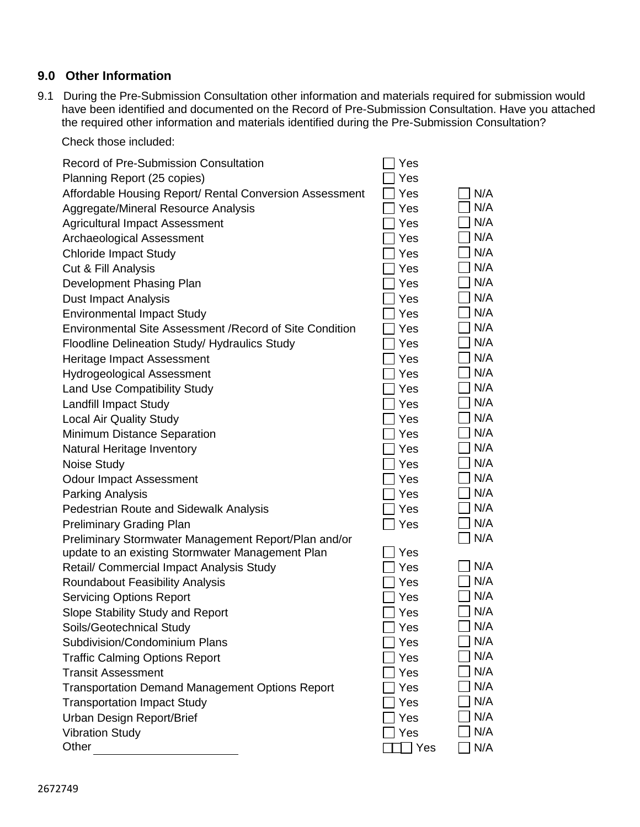# **9.0 Other Information**

9.1 During the Pre-Submission Consultation other information and materials required for submission would have been identified and documented on the Record of Pre-Submission Consultation. Have you attached the required other information and materials identified during the Pre-Submission Consultation?

Check those included:

| <b>Record of Pre-Submission Consultation</b>                    | Yes |     |
|-----------------------------------------------------------------|-----|-----|
| Planning Report (25 copies)                                     | Yes |     |
| Affordable Housing Report/ Rental Conversion Assessment         | Yes | N/A |
| Aggregate/Mineral Resource Analysis                             | Yes | N/A |
| <b>Agricultural Impact Assessment</b>                           | Yes | N/A |
| Archaeological Assessment                                       | Yes | N/A |
| <b>Chloride Impact Study</b>                                    | Yes | N/A |
| Cut & Fill Analysis                                             | Yes | N/A |
| Development Phasing Plan                                        | Yes | N/A |
| <b>Dust Impact Analysis</b>                                     | Yes | N/A |
| <b>Environmental Impact Study</b>                               | Yes | N/A |
| <b>Environmental Site Assessment / Record of Site Condition</b> | Yes | N/A |
| <b>Floodline Delineation Study/ Hydraulics Study</b>            | Yes | N/A |
| Heritage Impact Assessment                                      | Yes | N/A |
| <b>Hydrogeological Assessment</b>                               | Yes | N/A |
| <b>Land Use Compatibility Study</b>                             | Yes | N/A |
| <b>Landfill Impact Study</b>                                    | Yes | N/A |
| <b>Local Air Quality Study</b>                                  | Yes | N/A |
| Minimum Distance Separation                                     | Yes | N/A |
| Natural Heritage Inventory                                      | Yes | N/A |
| Noise Study                                                     | Yes | N/A |
| <b>Odour Impact Assessment</b>                                  | Yes | N/A |
| Parking Analysis                                                | Yes | N/A |
| Pedestrian Route and Sidewalk Analysis                          | Yes | N/A |
| <b>Preliminary Grading Plan</b>                                 | Yes | N/A |
| Preliminary Stormwater Management Report/Plan and/or            |     | N/A |
| update to an existing Stormwater Management Plan                | Yes |     |
| Retail/ Commercial Impact Analysis Study                        | Yes | N/A |
| Roundabout Feasibility Analysis                                 | Yes | N/A |
| <b>Servicing Options Report</b>                                 | Yes | N/A |
| Slope Stability Study and Report                                | Yes | N/A |
| Soils/Geotechnical Study                                        | Yes | N/A |
| Subdivision/Condominium Plans                                   | Yes | N/A |
| <b>Traffic Calming Options Report</b>                           | Yes | N/A |
| <b>Transit Assessment</b>                                       | Yes | N/A |
| <b>Transportation Demand Management Options Report</b>          | Yes | N/A |
| <b>Transportation Impact Study</b>                              | Yes | N/A |
| <b>Urban Design Report/Brief</b>                                | Yes | N/A |
| <b>Vibration Study</b>                                          | Yes | N/A |
| Other                                                           | Yes | N/A |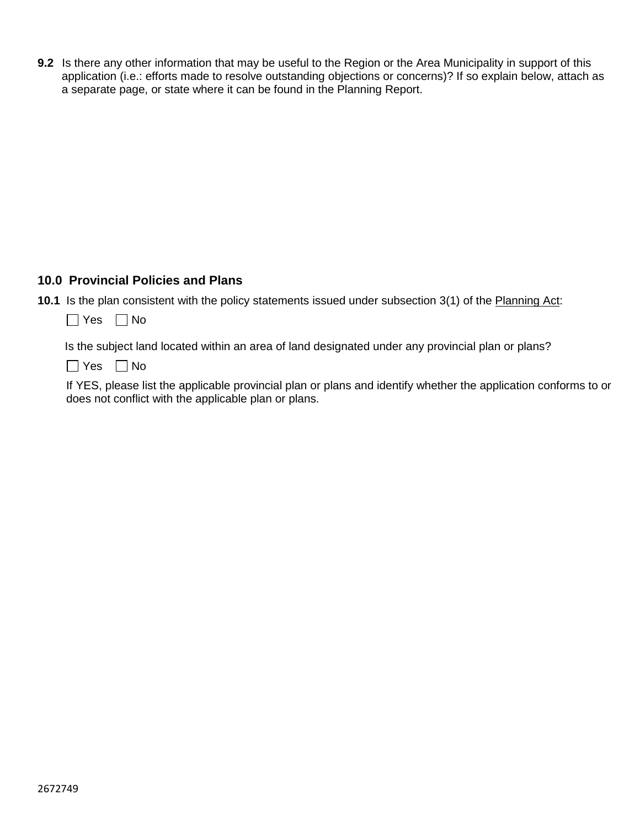**9.2** Is there any other information that may be useful to the Region or the Area Municipality in support of this application (i.e.: efforts made to resolve outstanding objections or concerns)? If so explain below, attach as a separate page, or state where it can be found in the Planning Report.

## **10.0 Provincial Policies and Plans**

- **10.1** Is the plan consistent with the policy statements issued under subsection 3(1) of the Planning Act:
	- $\Box$  Yes  $\Box$  No

Is the subject land located within an area of land designated under any provincial plan or plans?

 $\Box$  Yes  $\Box$  No

If YES, please list the applicable provincial plan or plans and identify whether the application conforms to or does not conflict with the applicable plan or plans.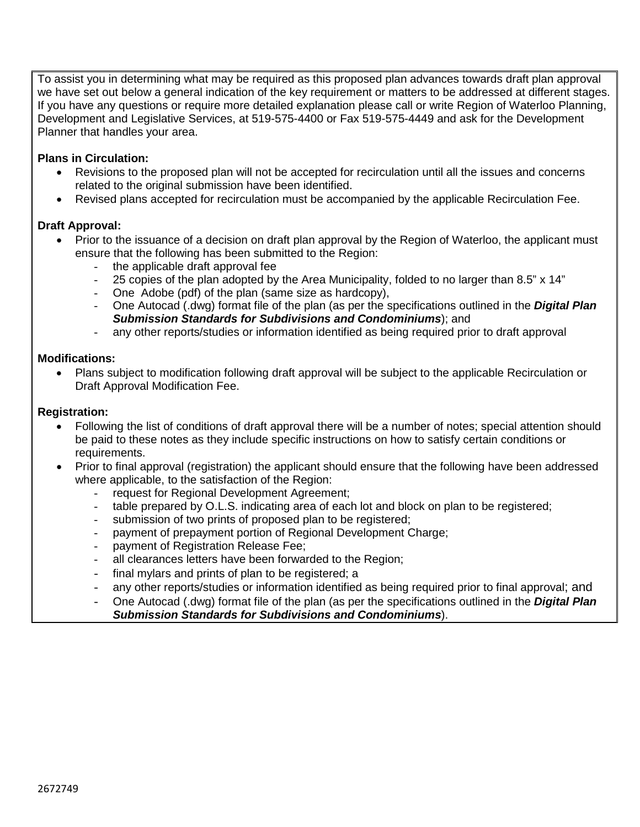To assist you in determining what may be required as this proposed plan advances towards draft plan approval we have set out below a general indication of the key requirement or matters to be addressed at different stages. If you have any questions or require more detailed explanation please call or write Region of Waterloo Planning, Development and Legislative Services, at 519-575-4400 or Fax 519-575-4449 and ask for the Development Planner that handles your area.

#### **Plans in Circulation:**

- Revisions to the proposed plan will not be accepted for recirculation until all the issues and concerns related to the original submission have been identified.
- Revised plans accepted for recirculation must be accompanied by the applicable Recirculation Fee.

#### **Draft Approval:**

- Prior to the issuance of a decision on draft plan approval by the Region of Waterloo, the applicant must ensure that the following has been submitted to the Region:
	- the applicable draft approval fee
	- 25 copies of the plan adopted by the Area Municipality, folded to no larger than 8.5" x 14"
	- One Adobe (pdf) of the plan (same size as hardcopy),
	- One Autocad (.dwg) format file of the plan (as per the specifications outlined in the *Digital Plan Submission Standards for Subdivisions and Condominiums*); and
	- any other reports/studies or information identified as being required prior to draft approval

#### **Modifications:**

• Plans subject to modification following draft approval will be subject to the applicable Recirculation or Draft Approval Modification Fee.

#### **Registration:**

- Following the list of conditions of draft approval there will be a number of notes; special attention should be paid to these notes as they include specific instructions on how to satisfy certain conditions or requirements.
- Prior to final approval (registration) the applicant should ensure that the following have been addressed where applicable, to the satisfaction of the Region:
	- request for Regional Development Agreement;
	- table prepared by O.L.S. indicating area of each lot and block on plan to be registered;
	- submission of two prints of proposed plan to be registered;
	- payment of prepayment portion of Regional Development Charge;
	- payment of Registration Release Fee;
	- all clearances letters have been forwarded to the Region;
	- final mylars and prints of plan to be registered; a
	- any other reports/studies or information identified as being required prior to final approval; and
	- One Autocad (.dwg) format file of the plan (as per the specifications outlined in the *Digital Plan Submission Standards for Subdivisions and Condominiums*).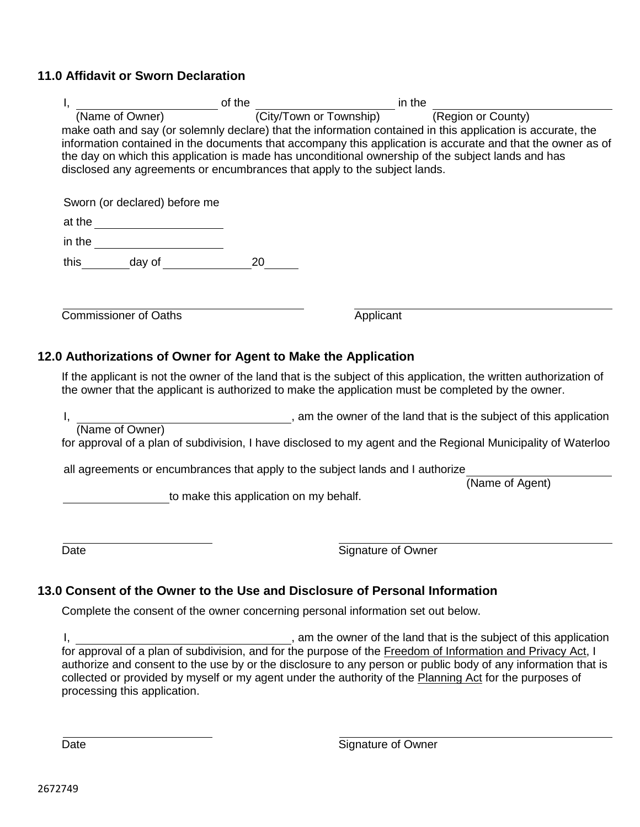# **11.0 Affidavit or Sworn Declaration**

| I.   |                                                                |                                        | $\frac{1}{2}$ of the $\frac{1}{2}$ of the $\frac{1}{2}$ in the $\frac{1}{2}$ in the $\frac{1}{2}$<br>make oath and say (or solemnly declare) that the information contained in this application is accurate, the<br>information contained in the documents that accompany this application is accurate and that the owner as of<br>the day on which this application is made has unconditional ownership of the subject lands and has<br>disclosed any agreements or encumbrances that apply to the subject lands. |                 |
|------|----------------------------------------------------------------|----------------------------------------|--------------------------------------------------------------------------------------------------------------------------------------------------------------------------------------------------------------------------------------------------------------------------------------------------------------------------------------------------------------------------------------------------------------------------------------------------------------------------------------------------------------------|-----------------|
|      | Sworn (or declared) before me                                  |                                        |                                                                                                                                                                                                                                                                                                                                                                                                                                                                                                                    |                 |
|      |                                                                |                                        |                                                                                                                                                                                                                                                                                                                                                                                                                                                                                                                    |                 |
|      | in the _________________________                               |                                        |                                                                                                                                                                                                                                                                                                                                                                                                                                                                                                                    |                 |
|      | this _________ day of ______________                           | 20                                     |                                                                                                                                                                                                                                                                                                                                                                                                                                                                                                                    |                 |
|      | <b>Commissioner of Oaths</b>                                   |                                        | Applicant                                                                                                                                                                                                                                                                                                                                                                                                                                                                                                          |                 |
|      | 12.0 Authorizations of Owner for Agent to Make the Application |                                        | If the applicant is not the owner of the land that is the subject of this application, the written authorization of<br>the owner that the applicant is authorized to make the application must be completed by the owner.                                                                                                                                                                                                                                                                                          |                 |
|      |                                                                |                                        | I, (Name of Owner) example and the owner of the land that is the subject of this application (Name of Owner)                                                                                                                                                                                                                                                                                                                                                                                                       |                 |
|      |                                                                |                                        | for approval of a plan of subdivision, I have disclosed to my agent and the Regional Municipality of Waterloo                                                                                                                                                                                                                                                                                                                                                                                                      |                 |
|      |                                                                |                                        | all agreements or encumbrances that apply to the subject lands and I authorize                                                                                                                                                                                                                                                                                                                                                                                                                                     | (Name of Agent) |
|      |                                                                | to make this application on my behalf. |                                                                                                                                                                                                                                                                                                                                                                                                                                                                                                                    |                 |
| Date |                                                                |                                        | Signature of Owner                                                                                                                                                                                                                                                                                                                                                                                                                                                                                                 |                 |
|      |                                                                |                                        | 13.0 Consent of the Owner to the Use and Disclosure of Personal Information                                                                                                                                                                                                                                                                                                                                                                                                                                        |                 |
|      |                                                                |                                        | Complete the consent of the owner concerning personal information set out below.                                                                                                                                                                                                                                                                                                                                                                                                                                   |                 |
|      |                                                                |                                        |                                                                                                                                                                                                                                                                                                                                                                                                                                                                                                                    |                 |

I, \_\_\_\_\_\_\_\_\_\_\_\_\_\_\_\_\_\_\_\_\_\_\_\_\_\_\_\_\_\_\_\_\_\_\_, am the owner of the land that is the subject of this application for approval of a plan of subdivision, and for the purpose of the <u>Freedom of Information and Privacy Act,</u> I authorize and consent to the use by or the disclosure to any person or public body of any information that is collected or provided by myself or my agent under the authority of the Planning Act for the purposes of processing this application.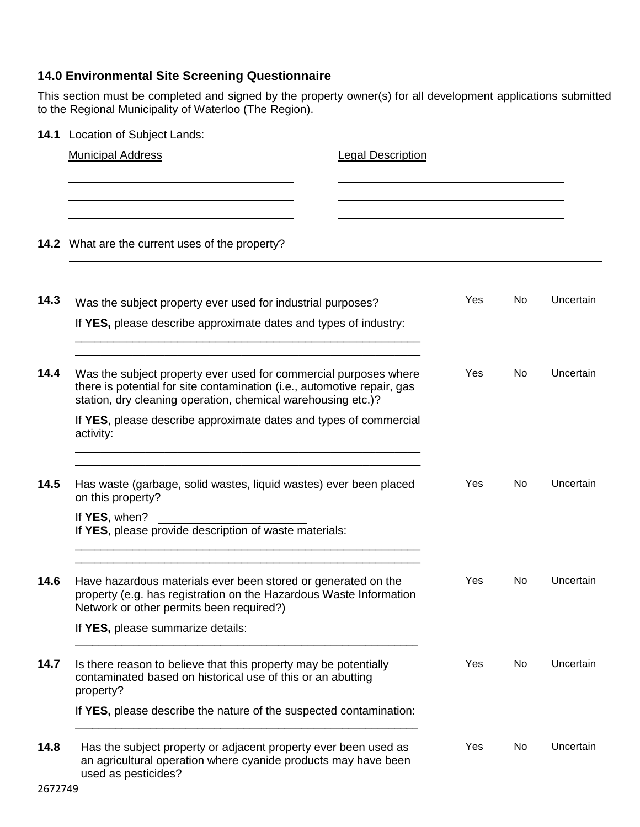# **14.0 Environmental Site Screening Questionnaire**

This section must be completed and signed by the property owner(s) for all development applications submitted to the Regional Municipality of Waterloo (The Region).

**14.1** Location of Subject Lands:

|      | <b>Municipal Address</b>                                                                                                                                                                                    | <b>Legal Description</b> |     |     |           |
|------|-------------------------------------------------------------------------------------------------------------------------------------------------------------------------------------------------------------|--------------------------|-----|-----|-----------|
|      |                                                                                                                                                                                                             |                          |     |     |           |
|      | 14.2 What are the current uses of the property?                                                                                                                                                             |                          |     |     |           |
| 14.3 | Was the subject property ever used for industrial purposes?                                                                                                                                                 |                          | Yes | No  | Uncertain |
|      | If YES, please describe approximate dates and types of industry:                                                                                                                                            |                          |     |     |           |
| 14.4 | Was the subject property ever used for commercial purposes where<br>there is potential for site contamination (i.e., automotive repair, gas<br>station, dry cleaning operation, chemical warehousing etc.)? |                          | Yes | No. | Uncertain |
|      | If YES, please describe approximate dates and types of commercial<br>activity:                                                                                                                              |                          |     |     |           |
| 14.5 | Has waste (garbage, solid wastes, liquid wastes) ever been placed<br>on this property?                                                                                                                      |                          | Yes | No  | Uncertain |
|      | If YES, when?<br>If YES, please provide description of waste materials:                                                                                                                                     |                          |     |     |           |
| 14.6 | Have hazardous materials ever been stored or generated on the<br>property (e.g. has registration on the Hazardous Waste Information<br>Network or other permits been required?)                             |                          | Yes | No. | Uncertain |
|      | If YES, please summarize details:                                                                                                                                                                           |                          |     |     |           |
| 14.7 | Is there reason to believe that this property may be potentially<br>contaminated based on historical use of this or an abutting<br>property?                                                                |                          | Yes | No  | Uncertain |
|      | If YES, please describe the nature of the suspected contamination:                                                                                                                                          |                          |     |     |           |
| 14.8 | Has the subject property or adjacent property ever been used as<br>an agricultural operation where cyanide products may have been<br>used as pesticides?                                                    |                          | Yes | No  | Uncertain |